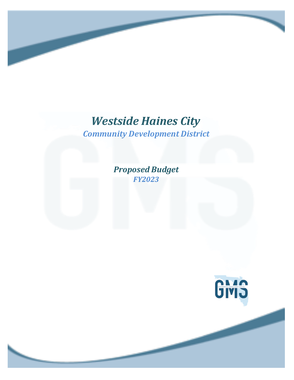# *Westside Haines City*

*Community Development District*

*Proposed Budget FY2023*

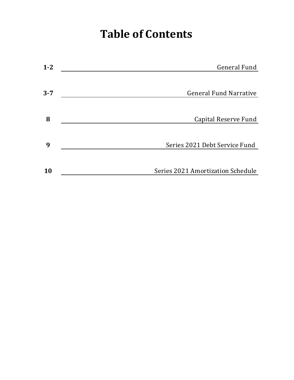# **Table of Contents**

| $1 - 2$ | <b>General Fund</b>               |
|---------|-----------------------------------|
|         |                                   |
| $3 - 7$ | <b>General Fund Narrative</b>     |
|         |                                   |
| 8       | Capital Reserve Fund              |
|         |                                   |
| 9       | Series 2021 Debt Service Fund     |
|         |                                   |
| 10      | Series 2021 Amortization Schedule |
|         |                                   |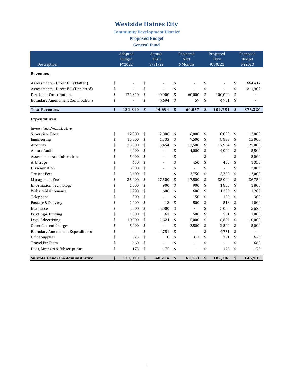**Community Development District**

**Proposed Budget**

**General Fund** 

|                                         | Adopted<br><b>Budget</b> |                          | <b>Actuals</b><br>Thru |    | Projected<br><b>Next</b> |    | Projected<br>Thru |    | Proposed<br><b>Budget</b> |
|-----------------------------------------|--------------------------|--------------------------|------------------------|----|--------------------------|----|-------------------|----|---------------------------|
| Description                             |                          | FY2022                   | 3/31/22                |    | 6 Months                 |    | 9/30/22           |    | FY2023                    |
| <b>Revenues</b>                         |                          |                          |                        |    |                          |    |                   |    |                           |
| Assessments - Direct Bill (Platted)     | \$                       |                          | \$                     | \$ | $\overline{a}$           | \$ |                   | \$ | 664,417                   |
| Assessments - Direct Bill (Unplatted)   | \$                       |                          | \$                     | \$ |                          | \$ |                   | \$ | 211,903                   |
| Developer Contributions                 | \$                       | 131.810                  | \$<br>40,000           | \$ | 60.000                   | \$ | 100,000           | \$ |                           |
| <b>Boundary Amendment Contributions</b> | \$                       |                          | \$<br>4,694            | \$ | 57                       | \$ | 4,751             | \$ |                           |
| <b>Total Revenues</b>                   | \$                       | 131,810                  | \$<br>44,694           | \$ | 60,057                   | \$ | 104,751           | \$ | 876,320                   |
| <b>Expenditures</b>                     |                          |                          |                        |    |                          |    |                   |    |                           |
| General & Administrative                |                          |                          |                        |    |                          |    |                   |    |                           |
| Supervisor Fees                         | \$                       | 12,000                   | \$<br>2,800            | \$ | 6,000                    | \$ | 8.800             | \$ | 12,000                    |
| Engineering                             | \$                       | 15,000                   | \$<br>1,333            | \$ | 7,500                    | \$ | 8,833             | \$ | 15,000                    |
| Attorney                                | \$                       | 25,000                   | \$<br>5.454            | \$ | 12,500                   | \$ | 17.954            | \$ | 25,000                    |
| Annual Audit                            | \$                       | 4,000                    | \$<br>$\overline{a}$   | \$ | 4,000                    | \$ | 4,000             | \$ | 5,500                     |
| Assessment Administration               | \$                       | 5,000                    | \$                     | \$ |                          | \$ | $\overline{a}$    | \$ | 5,000                     |
| Arbitrage                               | \$                       | 450                      | \$<br>$\overline{a}$   | \$ | 450                      | \$ | 450               | \$ | 1,350                     |
| Dissemination                           | \$                       | 5,000                    | \$<br>$\overline{a}$   | \$ |                          | \$ |                   | \$ | 7,000                     |
| <b>Trustee Fees</b>                     | \$                       | 3,600                    | \$<br>$\overline{a}$   | \$ | 3,750                    | \$ | 3.750             | \$ | 12,000                    |
| <b>Management Fees</b>                  | \$                       | 35,000                   | \$<br>17,500           | \$ | 17,500                   | \$ | 35,000            | \$ | 36,750                    |
| <b>Information Technology</b>           | \$                       | 1,800                    | \$<br>900              | \$ | 900                      | \$ | 1,800             | \$ | 1,800                     |
| Website Maintenance                     | \$                       | 1,200                    | \$<br>600              | \$ | 600                      | \$ | 1,200             | \$ | 1,200                     |
| Telephone                               | \$                       | 300                      | \$                     | \$ | 150                      | \$ | 150               | \$ | 300                       |
| Postage & Delivery                      | \$                       | 1,000                    | \$<br>18               | \$ | 500                      | \$ | 518               | \$ | 1,000                     |
| Insurance                               | \$                       | 5,000                    | \$<br>5,000            | \$ | $\overline{\phantom{a}}$ | \$ | 5,000             | \$ | 5,625                     |
| Printing & Binding                      | \$                       | 1,000                    | \$<br>61               | \$ | 500                      | \$ | 561               | \$ | 1,000                     |
| <b>Legal Advertising</b>                | \$                       | 10,000                   | \$<br>1,624            | \$ | 5,000                    | \$ | 6,624             | \$ | 10,000                    |
| Other Current Charges                   | \$                       | 5,000                    | \$                     | \$ | 2,500                    | \$ | 2,500             | \$ | 5,000                     |
| <b>Boundary Amendment Expenditures</b>  | \$                       | $\overline{\phantom{a}}$ | \$<br>4,751            | \$ | $\overline{\phantom{a}}$ | \$ | 4,751             | \$ | $\overline{a}$            |
| Office Supplies                         | \$                       | 625                      | \$<br>8                | \$ | 313                      | \$ | 321               | \$ | 625                       |
| <b>Travel Per Diem</b>                  | \$                       | 660                      | \$                     | \$ | $\overline{a}$           | \$ | $\blacksquare$    | \$ | 660                       |
| Dues, Licenses & Subscriptions          | \$                       | 175                      | \$<br>175              | \$ | $\overline{a}$           | \$ | 175               | \$ | 175                       |
| Subtotal General & Administrative       | \$                       | 131,810                  | \$<br>40,224           | \$ | 62,163                   | \$ | 102,386           | \$ | 146,985                   |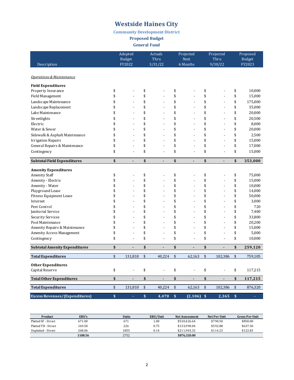#### **Community Development District**

**Proposed Budget**

**General Fund** 

|                                       | Adopted<br><b>Budget</b>       | <b>Actuals</b><br>Thru         | Projected<br><b>Next</b>       | Projected<br>Thru              | Proposed<br><b>Budget</b> |
|---------------------------------------|--------------------------------|--------------------------------|--------------------------------|--------------------------------|---------------------------|
| Description                           | FY2022                         | 3/31/22                        | 6 Months                       | 9/30/22                        | FY2023                    |
|                                       |                                |                                |                                |                                |                           |
| Operations & Maintenance              |                                |                                |                                |                                |                           |
| <b>Field Expenditures</b>             |                                |                                |                                |                                |                           |
| Property Insurance                    | \$                             | \$                             | \$                             | \$                             | \$<br>10,000              |
| <b>Field Management</b>               | \$<br>$\overline{a}$           | \$<br>$\overline{a}$           | \$<br>$\overline{a}$           | \$<br>$\overline{a}$           | \$<br>15,000              |
| Landscape Maintenance                 | \$                             | \$<br>$\overline{a}$           | \$                             | \$                             | \$<br>175,000             |
| Landscape Replacement                 | \$                             | \$                             | \$                             | \$                             | \$<br>35,000              |
| Lake Maintenance                      | \$<br>$\overline{\phantom{a}}$ | \$<br>$\blacksquare$           | \$<br>$\overline{\phantom{a}}$ | \$<br>$\blacksquare$           | \$<br>20,000              |
| Streetlights                          | \$<br>$\overline{\phantom{a}}$ | \$<br>$\blacksquare$           | \$<br>Ĭ.                       | \$<br>$\blacksquare$           | \$<br>20,500              |
| Electric                              | \$                             | \$<br>L,                       | \$                             | \$                             | \$<br>8,000               |
| Water & Sewer                         | \$                             | \$<br>L.                       | \$<br>$\overline{a}$           | \$<br>$\overline{a}$           | \$<br>20,000              |
| Sidewalk & Asphalt Maintenance        | \$                             | \$<br>$\overline{a}$           | \$<br>L.                       | \$<br>$\overline{a}$           | \$<br>2,500               |
| <b>Irrigation Repairs</b>             | \$                             | \$<br>$\overline{a}$           | \$<br>Ĭ.                       | \$<br>÷,                       | \$<br>15,000              |
| General Repairs & Maintenance         | \$<br>$\overline{a}$           | \$<br>$\overline{a}$           | \$<br>$\overline{a}$           | \$<br>$\overline{a}$           | \$<br>17,000              |
| Contingency                           | \$<br>$\overline{a}$           | \$<br>$\overline{a}$           | \$<br>L,                       | \$<br>$\overline{a}$           | \$<br>15,000              |
| <b>Subtotal Field Expenditures</b>    | \$<br>$\overline{a}$           | \$<br>$\overline{a}$           | \$<br>$\overline{a}$           | \$<br>$\overline{a}$           | \$<br>353,000             |
| <b>Amenity Expenditures</b>           |                                |                                |                                |                                |                           |
| <b>Amenity Staff</b>                  | \$                             | \$                             | \$                             | \$                             | \$<br>75,000              |
| Amenity - Electric                    | \$                             | \$                             | \$<br>L.                       | \$                             | \$<br>15,000              |
| Amenity - Water                       | \$                             | \$<br>L,                       | \$                             | \$                             | \$<br>10,000              |
| Playground Lease                      | \$<br>$\overline{\phantom{a}}$ | \$<br>$\overline{a}$           | \$<br>Ĭ.                       | \$<br>$\blacksquare$           | \$<br>14,000              |
| Fitness Equipment Lease               | \$                             | \$<br>$\blacksquare$           | \$<br>Ĭ.                       | \$<br>$\blacksquare$           | \$<br>50,000              |
| Internet                              | \$                             | \$<br>$\overline{a}$           | \$<br>L,                       | \$<br>$\overline{a}$           | \$<br>3,000               |
| Pest Control                          | \$                             | \$<br>$\overline{a}$           | \$<br>L.                       | \$                             | \$<br>720                 |
| Janitorial Service                    | \$<br>$\overline{a}$           | \$<br>$\overline{a}$           | \$<br>$\overline{a}$           | \$<br>$\overline{a}$           | \$<br>7,400               |
| Security Services                     | \$                             | \$<br>$\overline{a}$           | \$                             | \$                             | \$<br>33,800              |
| Pool Maintenance                      | \$                             | \$                             | \$                             | \$                             | \$<br>20,200              |
| Amenity Repairs & Maintenance         | \$                             | \$<br>$\overline{a}$           | \$<br>Ĭ.                       | \$<br>L,                       | \$<br>15,000              |
| <b>Amenity Access Management</b>      | \$                             | \$<br>$\overline{a}$           | \$<br>$\overline{a}$           | \$<br>L.                       | \$<br>5,000               |
| Contingency                           | \$                             | \$<br>$\overline{a}$           | \$<br>Ĭ.                       | \$<br>$\overline{a}$           | \$<br>10,000              |
| <b>Subtotal Amenity Expenditures</b>  | \$<br>$\overline{\phantom{a}}$ | \$<br>$\overline{\phantom{0}}$ | \$                             | \$<br>$\overline{\phantom{a}}$ | \$<br>259,120             |
| <b>Total Expenditures</b>             | \$<br>131,810                  | \$<br>40,224                   | \$<br>62,163                   | \$<br>102,386                  | \$<br>759,105             |
| <b>Other Expenditures</b>             |                                |                                |                                |                                |                           |
| Capital Reserve                       | \$                             | \$                             | \$                             | \$                             | \$<br>117,215             |
| <b>Total Other Expenditures</b>       | \$<br>$\blacksquare$           | \$<br>$\blacksquare$           | \$<br>$\overline{a}$           | \$<br>$\blacksquare$           | \$<br>117,215             |
|                                       |                                |                                |                                |                                |                           |
| <b>Total Expenditures</b>             | \$<br>131,810                  | \$<br>40,224                   | \$<br>62,163                   | \$<br>102,386                  | \$<br>876,320             |
| <b>Excess Revenues/(Expenditures)</b> | \$<br>ä,                       | \$<br>4,470                    | \$<br>$\overline{(2,106)}$ \$  | 2,365                          | \$<br>÷,                  |

| <b>Product</b>      | ERU's   | <b>Units</b> | ERU/Unit | <b>Net Assessment</b> | Net Per Unit | <b>Gross Per Unit</b> |
|---------------------|---------|--------------|----------|-----------------------|--------------|-----------------------|
| Platted SF - Direct | 671.00  | 671          | 1.00     | \$530.426.64          | \$790.50     | \$850.00              |
| Platted TH - Direct | 169.50  | 226          | 0.75     | \$133.990.04          | \$592.88     | \$637.50              |
| Unplatted - Direct  | 268.06  | 1855         | 0.14     | \$211.903.32          | \$114.23     | \$122.83              |
|                     | 1108.56 | 2752         |          | \$876,320,00          |              |                       |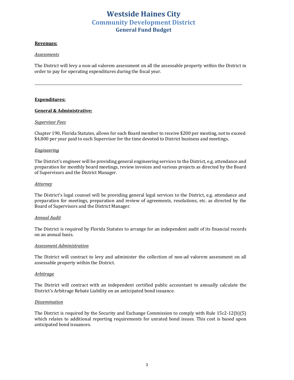### **Westside Haines City Community Development District General Fund Budget**

#### **Revenues:**

#### *Assessments*

The District will levy a non-ad valorem assessment on all the assessable property within the District in order to pay for operating expenditures during the fiscal year.

#### **Expenditures:**

#### **General & Administrative:**

#### *Supervisor Fees*

Chapter 190, Florida Statutes, allows for each Board member to receive \$200 per meeting, not to exceed \$4,800 per year paid to each Supervisor for the time devoted to District business and meetings.

#### *Engineering*

The District's engineer will be providing general engineering services to the District, e.g. attendance and preparation for monthly board meetings, review invoices and various projects as directed by the Board of Supervisors and the District Manager.

#### *Attorney*

The District's legal counsel will be providing general legal services to the District, e.g. attendance and preparation for meetings, preparation and review of agreements, resolutions, etc. as directed by the Board of Supervisors and the District Manager.

#### *Annual Audit*

The District is required by Florida Statutes to arrange for an independent audit of its financial records on an annual basis.

#### *Assessment Administration*

The District will contract to levy and administer the collection of non-ad valorem assessment on all assessable property within the District.

#### *Arbitrage*

The District will contract with an independent certified public accountant to annually calculate the District's Arbitrage Rebate Liability on an anticipated bond issuance.

#### *Dissemination*

The District is required by the Security and Exchange Commission to comply with Rule  $15c2-12(b)(5)$ which relates to additional reporting requirements for unrated bond issues. This cost is based upon anticipated bond issuances.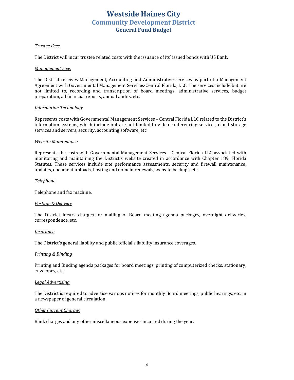# **Westside Haines City Community Development District General Fund Budget**

#### *Trustee Fees*

The District will incur trustee related costs with the issuance of its' issued bonds with US Bank.

#### *Management Fees*

The District receives Management, Accounting and Administrative services as part of a Management Agreement with Governmental Management Services-Central Florida, LLC. The services include but are not limited to, recording and transcription of board meetings, administrative services, budget preparation, all financial reports, annual audits, etc.

#### *Information Technology*

Represents costs with Governmental Management Services – Central Florida LLC related to the District's information systems, which include but are not limited to video conferencing services, cloud storage services and servers, security, accounting software, etc.

#### *Website Maintenance*

Represents the costs with Governmental Management Services - Central Florida LLC associated with monitoring and maintaining the District's website created in accordance with Chapter 189, Florida Statutes. These services include site performance assessments, security and firewall maintenance, updates, document uploads, hosting and domain renewals, website backups, etc.

#### *Telephone*

Telephone and fax machine.

#### *Postage & Delivery*

The District incurs charges for mailing of Board meeting agenda packages, overnight deliveries, correspondence, etc.

#### *Insurance*

The District's general liability and public official's liability insurance coverages.

#### *Printing & Binding*

Printing and Binding agenda packages for board meetings, printing of computerized checks, stationary, envelopes, etc.

#### *Legal Advertising*

The District is required to advertise various notices for monthly Board meetings, public hearings, etc. in a newspaper of general circulation.

#### **Other Current Charges**

Bank charges and any other miscellaneous expenses incurred during the year.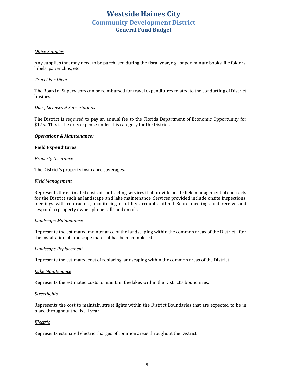# **Westside Haines City Community Development District General Fund Budget**

#### *Office Supplies*

Any supplies that may need to be purchased during the fiscal year, e.g., paper, minute books, file folders, labels, paper clips, etc.

#### *Travel Per Diem*

The Board of Supervisors can be reimbursed for travel expenditures related to the conducting of District business.

#### *Dues, Licenses & Subscriptions*

The District is required to pay an annual fee to the Florida Department of Economic Opportunity for \$175. This is the only expense under this category for the District.

#### **Operations & Maintenance:**

#### **Field Expenditures**

#### **Property Insurance**

The District's property insurance coverages.

#### *Field Management*

Represents the estimated costs of contracting services that provide onsite field management of contracts for the District such as landscape and lake maintenance. Services provided include onsite inspections, meetings with contractors, monitoring of utility accounts, attend Board meetings and receive and respond to property owner phone calls and emails.

#### *Landscape Maintenance*

Represents the estimated maintenance of the landscaping within the common areas of the District after the installation of landscape material has been completed.

#### *Landscape Replacement*

Represents the estimated cost of replacing landscaping within the common areas of the District.

#### *Lake Maintenance*

Represents the estimated costs to maintain the lakes within the District's boundaries.

#### *Streetlights*

Represents the cost to maintain street lights within the District Boundaries that are expected to be in place throughout the fiscal year.

#### *Electric*

Represents estimated electric charges of common areas throughout the District.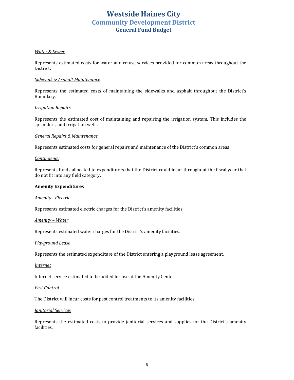# **Westside Haines City Community Development District General Fund Budget**

#### *Water & Sewer*

Represents estimated costs for water and refuse services provided for common areas throughout the District. 

#### *Sidewalk & Asphalt Maintenance*

Represents the estimated costs of maintaining the sidewalks and asphalt throughout the District's Boundary.

#### *Irrigation Repairs*

Represents the estimated cost of maintaining and repairing the irrigation system. This includes the sprinklers, and irrigation wells.

#### *General Repairs & Maintenance*

Represents estimated costs for general repairs and maintenance of the District's common areas.

#### *Contingency*

Represents funds allocated to expenditures that the District could incur throughout the fiscal year that do not fit into any field category.

#### **Amenity Expenditures**

#### *Amenity - Electric*

Represents estimated electric charges for the District's amenity facilities.

#### *Amenity* – Water

Represents estimated water charges for the District's amenity facilities.

#### *Playground Lease*

Represents the estimated expenditure of the District entering a playground lease agreement.

#### *Internet*

Internet service estimated to be added for use at the Amenity Center.

#### *Pest Control*

The District will incur costs for pest control treatments to its amenity facilities.

#### *Janitorial Services*

Represents the estimated costs to provide janitorial services and supplies for the District's amenity facilities.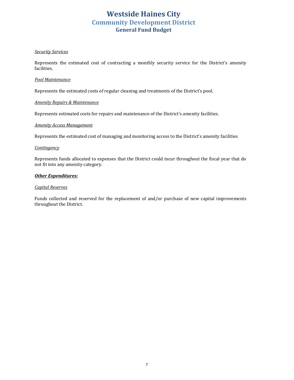# **Westside Haines City Community Development District General Fund Budget**

#### *Security Services*

Represents the estimated cost of contracting a monthly security service for the District's amenity facilities.

#### *Pool Maintenance*

Represents the estimated costs of regular cleaning and treatments of the District's pool.

#### *Amenity Repairs & Maintenance*

Represents estimated costs for repairs and maintenance of the District's amenity facilities.

#### *Amenity Access Management*

Represents the estimated cost of managing and monitoring access to the District's amenity facilities

#### *Contingency*

Represents funds allocated to expenses that the District could incur throughout the fiscal year that do not fit into any amenity category.

#### **Other Expenditures:**

#### *Capital Reserves*

Funds collected and reserved for the replacement of and/or purchase of new capital improvements throughout the District.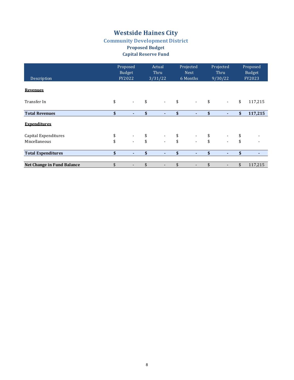#### **Community Development District Proposed Budget**

### **Capital Reserve Fund**

| Description                | Proposed<br><b>Budget</b><br>FY2022 |    | Actual<br>Thru<br>3/31/22 |    | Projected<br><b>Next</b><br>6 Months |                           | Projected<br>Thru<br>9/30/22 | Proposed<br>Budget<br>FY2023 |         |
|----------------------------|-------------------------------------|----|---------------------------|----|--------------------------------------|---------------------------|------------------------------|------------------------------|---------|
| <b>Revenues</b>            |                                     |    |                           |    |                                      |                           |                              |                              |         |
| Transfer In                | \$<br>$\overline{\phantom{a}}$      | \$ | $\sim$                    | \$ | $\sim$                               | \$                        | $\overline{\phantom{a}}$     | \$                           | 117,215 |
| <b>Total Revenues</b>      | \$<br>٠                             | \$ | ٠                         | \$ | ٠                                    | \$                        | ٠                            | \$                           | 117,215 |
| <b>Expenditures</b>        |                                     |    |                           |    |                                      |                           |                              |                              |         |
| Capital Expenditures       | \$<br>$\overline{\phantom{a}}$      | \$ | $\sim$                    | \$ | $\overline{\phantom{a}}$             | \$                        | $\overline{\phantom{a}}$     | \$                           |         |
| Miscellaneous              | \$<br>$\overline{\phantom{a}}$      | \$ |                           | \$ |                                      | \$                        | $\blacksquare$               | \$                           |         |
| <b>Total Expenditures</b>  | \$<br>٠                             | \$ | ٠                         | \$ |                                      | $\boldsymbol{\mathsf{s}}$ | ٠                            | \$                           |         |
| Net Change in Fund Balance | \$                                  |    |                           |    |                                      | \$                        |                              | \$                           | 117,215 |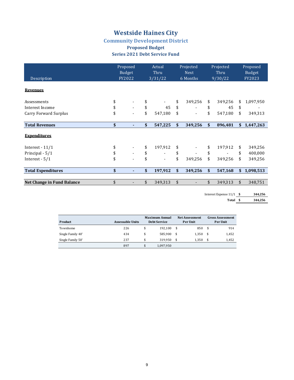# **Community Development District**

#### **Proposed Budget Series 2021 Debt Service Fund**

| Description                  | Proposed<br>Budget<br>FY2022 | Projected<br>Actual<br>Thru<br><b>Next</b><br>6 Months<br>3/31/22 |         | Projected<br>Thru<br>9/30/22 |    | Proposed<br>Budget<br>FY2023 |                 |
|------------------------------|------------------------------|-------------------------------------------------------------------|---------|------------------------------|----|------------------------------|-----------------|
| <b>Revenues</b>              |                              |                                                                   |         |                              |    |                              |                 |
| Assessments                  |                              |                                                                   |         | \$<br>349,256                | \$ | 349,256                      | \$<br>1,097,950 |
| Interest Income              | \$                           | \$                                                                | 45      | \$                           | \$ | 45                           | \$              |
| <b>Carry Forward Surplus</b> | \$                           | \$                                                                | 547,180 | \$                           | \$ | 547,180                      | \$<br>349,313   |
| <b>Total Revenues</b>        | \$                           | \$                                                                | 547,225 | \$<br>349,256                | \$ | 896,481                      | \$1,447,263     |
| <b>Expenditures</b>          |                              |                                                                   |         |                              |    |                              |                 |
| Interest $-11/1$             |                              | \$                                                                | 197,912 | \$                           | \$ | 197,912                      | \$<br>349,256   |
| Principal - 5/1              | \$                           | \$                                                                |         | \$                           | \$ |                              | \$<br>400,000   |
| Interest - $5/1$             | \$                           | \$                                                                |         | \$<br>349,256                | \$ | 349,256                      | \$<br>349,256   |
| <b>Total Expenditures</b>    | \$                           | \$                                                                | 197,912 | \$<br>349,256                | \$ | 547,168                      | \$<br>1,098,513 |
|                              |                              |                                                                   |         |                              |    |                              |                 |
| Net Change in Fund Balance   | \$                           | \$                                                                | 349,313 | \$                           | \$ | 349,313                      | \$<br>348,751   |

Interest Expense 11/1 **\$** 344,256

Total **\$** 344,256

| Product           | <b>Assessable Units</b> | <b>Maximum Annual</b><br><b>Debt Service</b> |           |     | <b>Net Assessment</b><br><b>Per Unit</b> | <b>Gross Assessment</b><br>Per Unit |       |  |  |
|-------------------|-------------------------|----------------------------------------------|-----------|-----|------------------------------------------|-------------------------------------|-------|--|--|
| Townhome          | 226                     | \$                                           | 192.100   | -\$ | 850                                      | -\$                                 | 914   |  |  |
| Single Family 40' | 434                     | \$                                           | 585.900   | \$  | 1.350                                    | \$.                                 | 1,452 |  |  |
| Single Family 50' | 237                     | \$                                           | 319.950   | \$  | 1.350                                    | \$                                  | 1,452 |  |  |
|                   | 897                     | \$                                           | 1.097.950 |     |                                          |                                     |       |  |  |